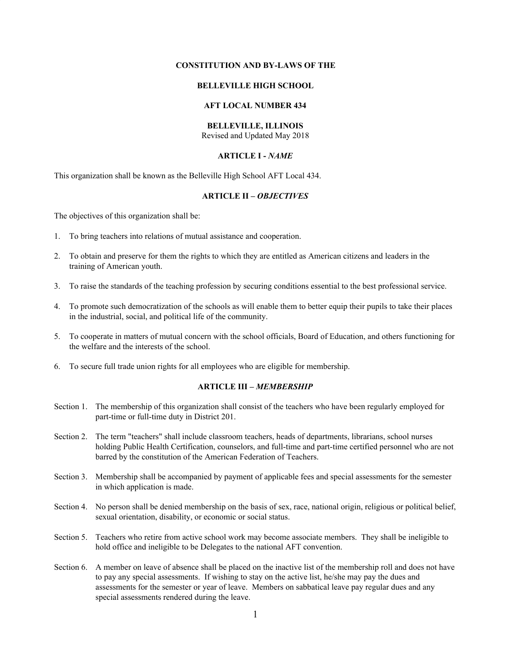### **CONSTITUTION AND BY-LAWS OF THE**

### **BELLEVILLE HIGH SCHOOL**

# **AFT LOCAL NUMBER 434**

# **BELLEVILLE, ILLINOIS**

Revised and Updated May 2018

# **ARTICLE I -** *NAME*

This organization shall be known as the Belleville High School AFT Local 434.

# **ARTICLE II –** *OBJECTIVES*

The objectives of this organization shall be:

- 1. To bring teachers into relations of mutual assistance and cooperation.
- 2. To obtain and preserve for them the rights to which they are entitled as American citizens and leaders in the training of American youth.
- 3. To raise the standards of the teaching profession by securing conditions essential to the best professional service.
- 4. To promote such democratization of the schools as will enable them to better equip their pupils to take their places in the industrial, social, and political life of the community.
- 5. To cooperate in matters of mutual concern with the school officials, Board of Education, and others functioning for the welfare and the interests of the school.
- 6. To secure full trade union rights for all employees who are eligible for membership.

# **ARTICLE III –** *MEMBERSHIP*

- Section 1. The membership of this organization shall consist of the teachers who have been regularly employed for part-time or full-time duty in District 201.
- Section 2. The term "teachers" shall include classroom teachers, heads of departments, librarians, school nurses holding Public Health Certification, counselors, and full-time and part-time certified personnel who are not barred by the constitution of the American Federation of Teachers.
- Section 3. Membership shall be accompanied by payment of applicable fees and special assessments for the semester in which application is made.
- Section 4. No person shall be denied membership on the basis of sex, race, national origin, religious or political belief, sexual orientation, disability, or economic or social status.
- Section 5. Teachers who retire from active school work may become associate members. They shall be ineligible to hold office and ineligible to be Delegates to the national AFT convention.
- Section 6. A member on leave of absence shall be placed on the inactive list of the membership roll and does not have to pay any special assessments. If wishing to stay on the active list, he/she may pay the dues and assessments for the semester or year of leave. Members on sabbatical leave pay regular dues and any special assessments rendered during the leave.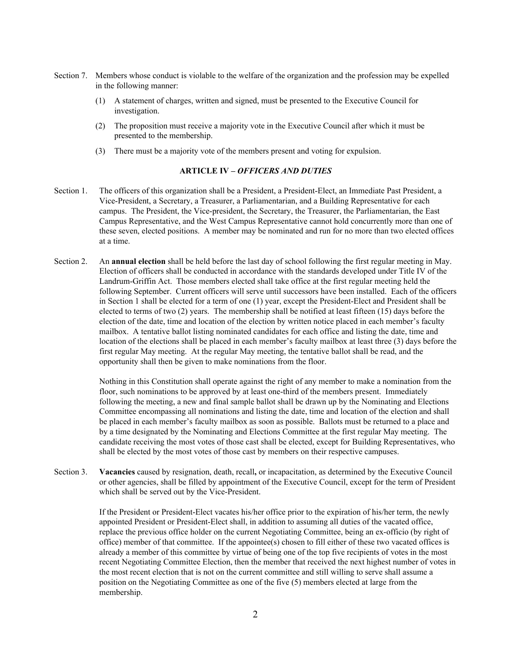- Section 7. Members whose conduct is violable to the welfare of the organization and the profession may be expelled in the following manner:
	- (1) A statement of charges, written and signed, must be presented to the Executive Council for investigation.
	- (2) The proposition must receive a majority vote in the Executive Council after which it must be presented to the membership.
	- (3) There must be a majority vote of the members present and voting for expulsion.

## **ARTICLE IV –** *OFFICERS AND DUTIES*

- Section 1. The officers of this organization shall be a President, a President-Elect, an Immediate Past President, a Vice-President, a Secretary, a Treasurer, a Parliamentarian, and a Building Representative for each campus. The President, the Vice-president, the Secretary, the Treasurer, the Parliamentarian, the East Campus Representative, and the West Campus Representative cannot hold concurrently more than one of these seven, elected positions. A member may be nominated and run for no more than two elected offices at a time.
- Section 2. An **annual election** shall be held before the last day of school following the first regular meeting in May. Election of officers shall be conducted in accordance with the standards developed under Title IV of the Landrum-Griffin Act. Those members elected shall take office at the first regular meeting held the following September. Current officers will serve until successors have been installed. Each of the officers in Section 1 shall be elected for a term of one (1) year, except the President-Elect and President shall be elected to terms of two (2) years. The membership shall be notified at least fifteen (15) days before the election of the date, time and location of the election by written notice placed in each member's faculty mailbox. A tentative ballot listing nominated candidates for each office and listing the date, time and location of the elections shall be placed in each member's faculty mailbox at least three (3) days before the first regular May meeting. At the regular May meeting, the tentative ballot shall be read, and the opportunity shall then be given to make nominations from the floor.

Nothing in this Constitution shall operate against the right of any member to make a nomination from the floor, such nominations to be approved by at least one-third of the members present. Immediately following the meeting, a new and final sample ballot shall be drawn up by the Nominating and Elections Committee encompassing all nominations and listing the date, time and location of the election and shall be placed in each member's faculty mailbox as soon as possible. Ballots must be returned to a place and by a time designated by the Nominating and Elections Committee at the first regular May meeting. The candidate receiving the most votes of those cast shall be elected, except for Building Representatives, who shall be elected by the most votes of those cast by members on their respective campuses.

Section 3. **Vacancies** caused by resignation, death, recall**,** or incapacitation, as determined by the Executive Council or other agencies, shall be filled by appointment of the Executive Council, except for the term of President which shall be served out by the Vice-President.

> If the President or President-Elect vacates his/her office prior to the expiration of his/her term, the newly appointed President or President-Elect shall, in addition to assuming all duties of the vacated office, replace the previous office holder on the current Negotiating Committee, being an ex-officio (by right of office) member of that committee. If the appointee(s) chosen to fill either of these two vacated offices is already a member of this committee by virtue of being one of the top five recipients of votes in the most recent Negotiating Committee Election, then the member that received the next highest number of votes in the most recent election that is not on the current committee and still willing to serve shall assume a position on the Negotiating Committee as one of the five (5) members elected at large from the membership.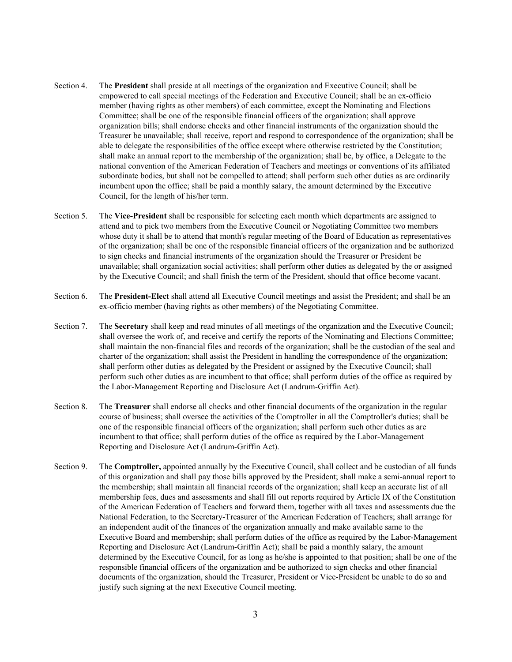- Section 4. The **President** shall preside at all meetings of the organization and Executive Council; shall be empowered to call special meetings of the Federation and Executive Council; shall be an ex-officio member (having rights as other members) of each committee, except the Nominating and Elections Committee; shall be one of the responsible financial officers of the organization; shall approve organization bills; shall endorse checks and other financial instruments of the organization should the Treasurer be unavailable; shall receive, report and respond to correspondence of the organization; shall be able to delegate the responsibilities of the office except where otherwise restricted by the Constitution; shall make an annual report to the membership of the organization; shall be, by office, a Delegate to the national convention of the American Federation of Teachers and meetings or conventions of its affiliated subordinate bodies, but shall not be compelled to attend; shall perform such other duties as are ordinarily incumbent upon the office; shall be paid a monthly salary, the amount determined by the Executive Council, for the length of his/her term.
- Section 5. The **Vice-President** shall be responsible for selecting each month which departments are assigned to attend and to pick two members from the Executive Council or Negotiating Committee two members whose duty it shall be to attend that month's regular meeting of the Board of Education as representatives of the organization; shall be one of the responsible financial officers of the organization and be authorized to sign checks and financial instruments of the organization should the Treasurer or President be unavailable; shall organization social activities; shall perform other duties as delegated by the or assigned by the Executive Council; and shall finish the term of the President, should that office become vacant.
- Section 6. The **President-Elect** shall attend all Executive Council meetings and assist the President; and shall be an ex-officio member (having rights as other members) of the Negotiating Committee.
- Section 7. The **Secretary** shall keep and read minutes of all meetings of the organization and the Executive Council; shall oversee the work of, and receive and certify the reports of the Nominating and Elections Committee; shall maintain the non-financial files and records of the organization; shall be the custodian of the seal and charter of the organization; shall assist the President in handling the correspondence of the organization; shall perform other duties as delegated by the President or assigned by the Executive Council; shall perform such other duties as are incumbent to that office; shall perform duties of the office as required by the Labor-Management Reporting and Disclosure Act (Landrum-Griffin Act).
- Section 8. The **Treasurer** shall endorse all checks and other financial documents of the organization in the regular course of business; shall oversee the activities of the Comptroller in all the Comptroller's duties; shall be one of the responsible financial officers of the organization; shall perform such other duties as are incumbent to that office; shall perform duties of the office as required by the Labor-Management Reporting and Disclosure Act (Landrum-Griffin Act).
- Section 9. The **Comptroller,** appointed annually by the Executive Council, shall collect and be custodian of all funds of this organization and shall pay those bills approved by the President; shall make a semi-annual report to the membership; shall maintain all financial records of the organization; shall keep an accurate list of all membership fees, dues and assessments and shall fill out reports required by Article IX of the Constitution of the American Federation of Teachers and forward them, together with all taxes and assessments due the National Federation, to the Secretary-Treasurer of the American Federation of Teachers; shall arrange for an independent audit of the finances of the organization annually and make available same to the Executive Board and membership; shall perform duties of the office as required by the Labor-Management Reporting and Disclosure Act (Landrum-Griffin Act); shall be paid a monthly salary, the amount determined by the Executive Council, for as long as he/she is appointed to that position; shall be one of the responsible financial officers of the organization and be authorized to sign checks and other financial documents of the organization, should the Treasurer, President or Vice-President be unable to do so and justify such signing at the next Executive Council meeting.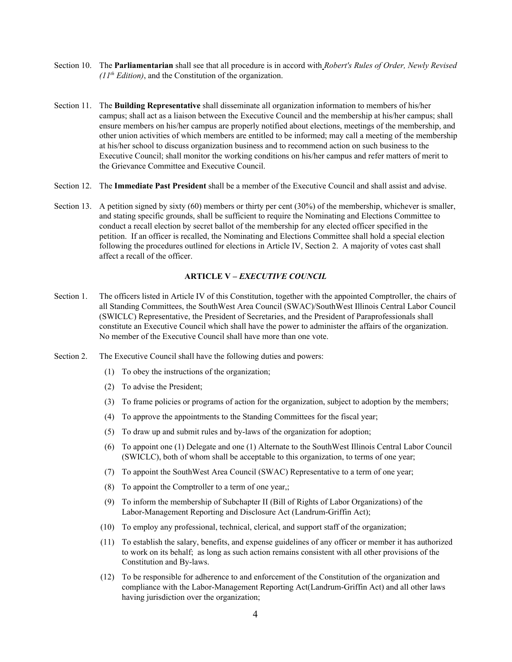- Section 10. The **Parliamentarian** shall see that all procedure is in accord with *Robert's Rules of Order, Newly Revised*  $(11<sup>th</sup> Edition)$ , and the Constitution of the organization.
- Section 11. The **Building Representative** shall disseminate all organization information to members of his/her campus; shall act as a liaison between the Executive Council and the membership at his/her campus; shall ensure members on his/her campus are properly notified about elections, meetings of the membership, and other union activities of which members are entitled to be informed; may call a meeting of the membership at his/her school to discuss organization business and to recommend action on such business to the Executive Council; shall monitor the working conditions on his/her campus and refer matters of merit to the Grievance Committee and Executive Council.
- Section 12. The **Immediate Past President** shall be a member of the Executive Council and shall assist and advise.
- Section 13. A petition signed by sixty (60) members or thirty per cent (30%) of the membership, whichever is smaller, and stating specific grounds, shall be sufficient to require the Nominating and Elections Committee to conduct a recall election by secret ballot of the membership for any elected officer specified in the petition. If an officer is recalled, the Nominating and Elections Committee shall hold a special election following the procedures outlined for elections in Article IV, Section 2. A majority of votes cast shall affect a recall of the officer.

# **ARTICLE V –** *EXECUTIVE COUNCIL*

- Section 1. The officers listed in Article IV of this Constitution, together with the appointed Comptroller, the chairs of all Standing Committees, the SouthWest Area Council (SWAC)/SouthWest Illinois Central Labor Council (SWICLC) Representative, the President of Secretaries, and the President of Paraprofessionals shall constitute an Executive Council which shall have the power to administer the affairs of the organization. No member of the Executive Council shall have more than one vote.
- Section 2. The Executive Council shall have the following duties and powers:
	- (1) To obey the instructions of the organization;
	- (2) To advise the President;
	- (3) To frame policies or programs of action for the organization, subject to adoption by the members;
	- (4) To approve the appointments to the Standing Committees for the fiscal year;
	- (5) To draw up and submit rules and by-laws of the organization for adoption;
	- (6) To appoint one (1) Delegate and one (1) Alternate to the SouthWest Illinois Central Labor Council (SWICLC), both of whom shall be acceptable to this organization, to terms of one year;
	- (7) To appoint the SouthWest Area Council (SWAC) Representative to a term of one year;
	- (8) To appoint the Comptroller to a term of one year,;
	- (9) To inform the membership of Subchapter II (Bill of Rights of Labor Organizations) of the Labor-Management Reporting and Disclosure Act (Landrum-Griffin Act);
	- (10) To employ any professional, technical, clerical, and support staff of the organization;
	- (11) To establish the salary, benefits, and expense guidelines of any officer or member it has authorized to work on its behalf; as long as such action remains consistent with all other provisions of the Constitution and By-laws.
	- (12) To be responsible for adherence to and enforcement of the Constitution of the organization and compliance with the Labor-Management Reporting Act(Landrum-Griffin Act) and all other laws having jurisdiction over the organization;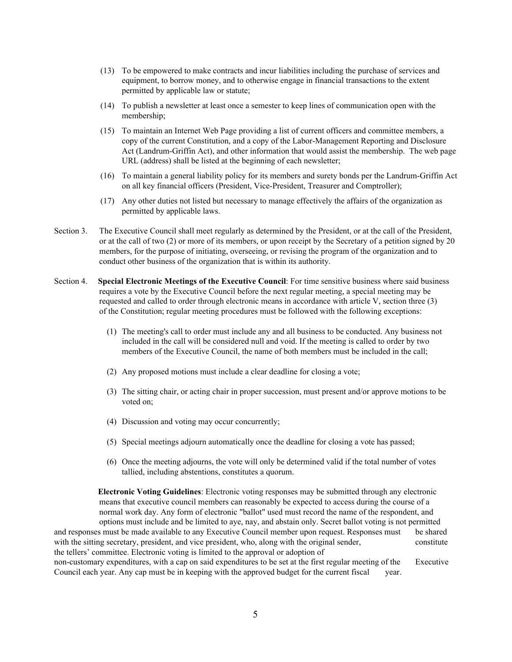- (13) To be empowered to make contracts and incur liabilities including the purchase of services and equipment, to borrow money, and to otherwise engage in financial transactions to the extent permitted by applicable law or statute;
- (14) To publish a newsletter at least once a semester to keep lines of communication open with the membership;
- (15) To maintain an Internet Web Page providing a list of current officers and committee members, a copy of the current Constitution, and a copy of the Labor-Management Reporting and Disclosure Act (Landrum-Griffin Act), and other information that would assist the membership. The web page URL (address) shall be listed at the beginning of each newsletter;
- (16) To maintain a general liability policy for its members and surety bonds per the Landrum-Griffin Act on all key financial officers (President, Vice-President, Treasurer and Comptroller);
- (17) Any other duties not listed but necessary to manage effectively the affairs of the organization as permitted by applicable laws.
- Section 3. The Executive Council shall meet regularly as determined by the President, or at the call of the President, or at the call of two (2) or more of its members, or upon receipt by the Secretary of a petition signed by 20 members, for the purpose of initiating, overseeing, or revising the program of the organization and to conduct other business of the organization that is within its authority.
- Section 4. **Special Electronic Meetings of the Executive Council**: For time sensitive business where said business requires a vote by the Executive Council before the next regular meeting, a special meeting may be requested and called to order through electronic means in accordance with article V, section three (3) of the Constitution; regular meeting procedures must be followed with the following exceptions:
	- (1) The meeting's call to order must include any and all business to be conducted. Any business not included in the call will be considered null and void. If the meeting is called to order by two members of the Executive Council, the name of both members must be included in the call;
	- (2) Any proposed motions must include a clear deadline for closing a vote;
	- (3) The sitting chair, or acting chair in proper succession, must present and/or approve motions to be voted on;
	- (4) Discussion and voting may occur concurrently;
	- (5) Special meetings adjourn automatically once the deadline for closing a vote has passed;
	- (6) Once the meeting adjourns, the vote will only be determined valid if the total number of votes tallied, including abstentions, constitutes a quorum.

**Electronic Voting Guidelines**: Electronic voting responses may be submitted through any electronic means that executive council members can reasonably be expected to access during the course of a normal work day. Any form of electronic "ballot" used must record the name of the respondent, and options must include and be limited to aye, nay, and abstain only. Secret ballot voting is not permitted

and responses must be made available to any Executive Council member upon request. Responses must be shared with the sitting secretary, president, and vice president, who, along with the original sender, constitute the tellers' committee. Electronic voting is limited to the approval or adoption of

non-customary expenditures, with a cap on said expenditures to be set at the first regular meeting of the Executive Council each year. Any cap must be in keeping with the approved budget for the current fiscal year.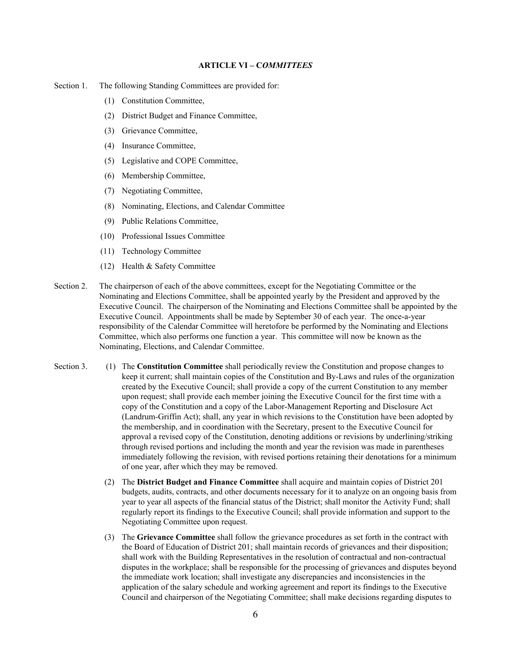#### **ARTICLE VI – C***OMMITTEES*

- Section 1. The following Standing Committees are provided for:
	- (1) Constitution Committee,
	- (2) District Budget and Finance Committee,
	- (3) Grievance Committee,
	- (4) Insurance Committee,
	- (5) Legislative and COPE Committee,
	- (6) Membership Committee,
	- (7) Negotiating Committee,
	- (8) Nominating, Elections, and Calendar Committee
	- (9) Public Relations Committee,
	- (10) Professional Issues Committee
	- (11) Technology Committee
	- (12) Health & Safety Committee
- Section 2. The chairperson of each of the above committees, except for the Negotiating Committee or the Nominating and Elections Committee, shall be appointed yearly by the President and approved by the Executive Council. The chairperson of the Nominating and Elections Committee shall be appointed by the Executive Council. Appointments shall be made by September 30 of each year. The once-a-year responsibility of the Calendar Committee will heretofore be performed by the Nominating and Elections Committee, which also performs one function a year. This committee will now be known as the Nominating, Elections, and Calendar Committee.
- Section 3. (1) The **Constitution Committee** shall periodically review the Constitution and propose changes to keep it current; shall maintain copies of the Constitution and By-Laws and rules of the organization created by the Executive Council; shall provide a copy of the current Constitution to any member upon request; shall provide each member joining the Executive Council for the first time with a copy of the Constitution and a copy of the Labor-Management Reporting and Disclosure Act (Landrum-Griffin Act); shall, any year in which revisions to the Constitution have been adopted by the membership, and in coordination with the Secretary, present to the Executive Council for approval a revised copy of the Constitution, denoting additions or revisions by underlining/striking through revised portions and including the month and year the revision was made in parentheses immediately following the revision, with revised portions retaining their denotations for a minimum of one year, after which they may be removed.
	- (2) The **District Budget and Finance Committee** shall acquire and maintain copies of District 201 budgets, audits, contracts, and other documents necessary for it to analyze on an ongoing basis from year to year all aspects of the financial status of the District; shall monitor the Activity Fund; shall regularly report its findings to the Executive Council; shall provide information and support to the Negotiating Committee upon request.
	- (3) The **Grievance Committee** shall follow the grievance procedures as set forth in the contract with the Board of Education of District 201; shall maintain records of grievances and their disposition; shall work with the Building Representatives in the resolution of contractual and non-contractual disputes in the workplace; shall be responsible for the processing of grievances and disputes beyond the immediate work location; shall investigate any discrepancies and inconsistencies in the application of the salary schedule and working agreement and report its findings to the Executive Council and chairperson of the Negotiating Committee; shall make decisions regarding disputes to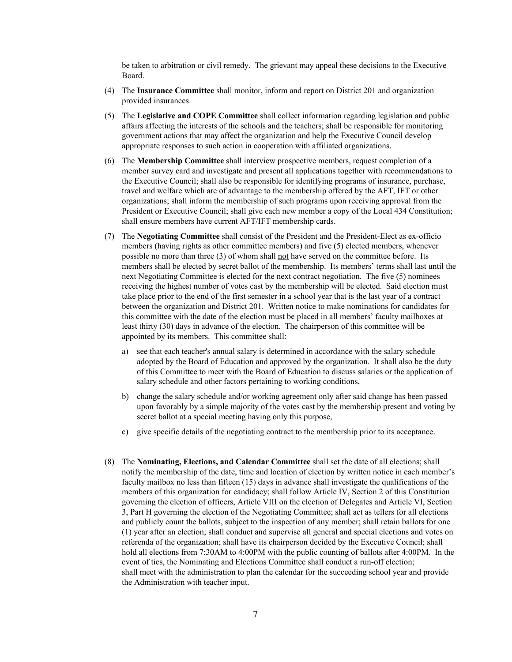be taken to arbitration or civil remedy. The grievant may appeal these decisions to the Executive Board.

- (4) The **Insurance Committee** shall monitor, inform and report on District 201 and organization provided insurances.
- (5) The **Legislative and COPE Committee** shall collect information regarding legislation and public affairs affecting the interests of the schools and the teachers; shall be responsible for monitoring government actions that may affect the organization and help the Executive Council develop appropriate responses to such action in cooperation with affiliated organizations.
- (6) The **Membership Committee** shall interview prospective members, request completion of a member survey card and investigate and present all applications together with recommendations to the Executive Council; shall also be responsible for identifying programs of insurance, purchase, travel and welfare which are of advantage to the membership offered by the AFT, IFT or other organizations; shall inform the membership of such programs upon receiving approval from the President or Executive Council; shall give each new member a copy of the Local 434 Constitution; shall ensure members have current AFT/IFT membership cards.
- (7) The **Negotiating Committee** shall consist of the President and the President-Elect as ex-officio members (having rights as other committee members) and five (5) elected members, whenever possible no more than three (3) of whom shall not have served on the committee before. Its members shall be elected by secret ballot of the membership. Its members' terms shall last until the next Negotiating Committee is elected for the next contract negotiation. The five (5) nominees receiving the highest number of votes cast by the membership will be elected. Said election must take place prior to the end of the first semester in a school year that is the last year of a contract between the organization and District 201. Written notice to make nominations for candidates for this committee with the date of the election must be placed in all members' faculty mailboxes at least thirty (30) days in advance of the election. The chairperson of this committee will be appointed by its members. This committee shall:
	- a) see that each teacher's annual salary is determined in accordance with the salary schedule adopted by the Board of Education and approved by the organization. It shall also be the duty of this Committee to meet with the Board of Education to discuss salaries or the application of salary schedule and other factors pertaining to working conditions,
	- b) change the salary schedule and/or working agreement only after said change has been passed upon favorably by a simple majority of the votes cast by the membership present and voting by secret ballot at a special meeting having only this purpose,
	- c) give specific details of the negotiating contract to the membership prior to its acceptance.
- (8) The **Nominating, Elections, and Calendar Committee** shall set the date of all elections; shall notify the membership of the date, time and location of election by written notice in each member's faculty mailbox no less than fifteen (15) days in advance shall investigate the qualifications of the members of this organization for candidacy; shall follow Article IV, Section 2 of this Constitution governing the election of officers, Article VIII on the election of Delegates and Article VI, Section 3, Part H governing the election of the Negotiating Committee; shall act as tellers for all elections and publicly count the ballots, subject to the inspection of any member; shall retain ballots for one (1) year after an election; shall conduct and supervise all general and special elections and votes on referenda of the organization; shall have its chairperson decided by the Executive Council; shall hold all elections from 7:30AM to 4:00PM with the public counting of ballots after 4:00PM. In the event of ties, the Nominating and Elections Committee shall conduct a run-off election; shall meet with the administration to plan the calendar for the succeeding school year and provide the Administration with teacher input.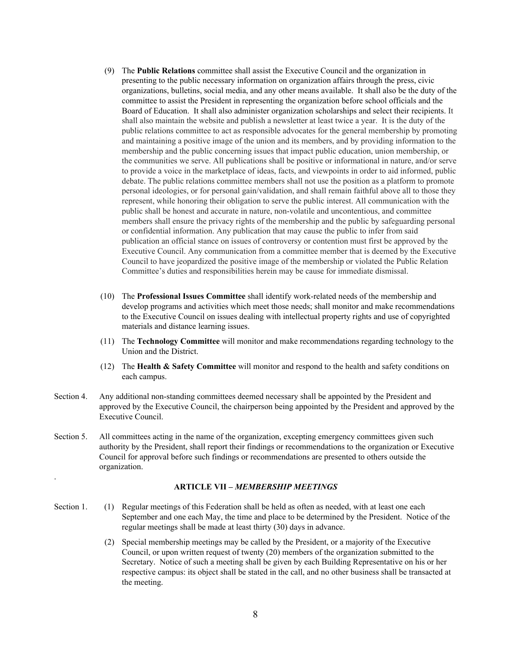- (9) The **Public Relations** committee shall assist the Executive Council and the organization in presenting to the public necessary information on organization affairs through the press, civic organizations, bulletins, social media, and any other means available. It shall also be the duty of the committee to assist the President in representing the organization before school officials and the Board of Education. It shall also administer organization scholarships and select their recipients. It shall also maintain the website and publish a newsletter at least twice a year. It is the duty of the public relations committee to act as responsible advocates for the general membership by promoting and maintaining a positive image of the union and its members, and by providing information to the membership and the public concerning issues that impact public education, union membership, or the communities we serve. All publications shall be positive or informational in nature, and/or serve to provide a voice in the marketplace of ideas, facts, and viewpoints in order to aid informed, public debate. The public relations committee members shall not use the position as a platform to promote personal ideologies, or for personal gain/validation, and shall remain faithful above all to those they represent, while honoring their obligation to serve the public interest. All communication with the public shall be honest and accurate in nature, non-volatile and uncontentious, and committee members shall ensure the privacy rights of the membership and the public by safeguarding personal or confidential information. Any publication that may cause the public to infer from said publication an official stance on issues of controversy or contention must first be approved by the Executive Council. Any communication from a committee member that is deemed by the Executive Council to have jeopardized the positive image of the membership or violated the Public Relation Committee's duties and responsibilities herein may be cause for immediate dismissal.
- (10) The **Professional Issues Committee** shall identify work-related needs of the membership and develop programs and activities which meet those needs; shall monitor and make recommendations to the Executive Council on issues dealing with intellectual property rights and use of copyrighted materials and distance learning issues.
- (11) The **Technology Committee** will monitor and make recommendations regarding technology to the Union and the District.
- (12) The **Health & Safety Committee** will monitor and respond to the health and safety conditions on each campus.
- Section 4. Any additional non-standing committees deemed necessary shall be appointed by the President and approved by the Executive Council, the chairperson being appointed by the President and approved by the Executive Council.
- Section 5. All committees acting in the name of the organization, excepting emergency committees given such authority by the President, shall report their findings or recommendations to the organization or Executive Council for approval before such findings or recommendations are presented to others outside the organization.

### **ARTICLE VII –** *MEMBERSHIP MEETINGS*

.

- Section 1. (1) Regular meetings of this Federation shall be held as often as needed, with at least one each September and one each May, the time and place to be determined by the President. Notice of the regular meetings shall be made at least thirty (30) days in advance.
	- (2) Special membership meetings may be called by the President, or a majority of the Executive Council, or upon written request of twenty (20) members of the organization submitted to the Secretary. Notice of such a meeting shall be given by each Building Representative on his or her respective campus: its object shall be stated in the call, and no other business shall be transacted at the meeting.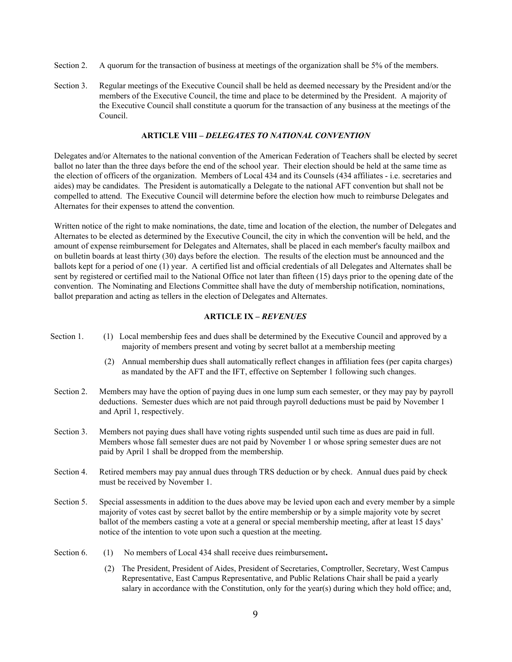- Section 2. A quorum for the transaction of business at meetings of the organization shall be 5% of the members.
- Section 3. Regular meetings of the Executive Council shall be held as deemed necessary by the President and/or the members of the Executive Council, the time and place to be determined by the President. A majority of the Executive Council shall constitute a quorum for the transaction of any business at the meetings of the Council.

## **ARTICLE VIII –** *DELEGATES TO NATIONAL CONVENTION*

Delegates and/or Alternates to the national convention of the American Federation of Teachers shall be elected by secret ballot no later than the three days before the end of the school year. Their election should be held at the same time as the election of officers of the organization. Members of Local 434 and its Counsels (434 affiliates - i.e. secretaries and aides) may be candidates. The President is automatically a Delegate to the national AFT convention but shall not be compelled to attend. The Executive Council will determine before the election how much to reimburse Delegates and Alternates for their expenses to attend the convention.

Written notice of the right to make nominations, the date, time and location of the election, the number of Delegates and Alternates to be elected as determined by the Executive Council, the city in which the convention will be held, and the amount of expense reimbursement for Delegates and Alternates, shall be placed in each member's faculty mailbox and on bulletin boards at least thirty (30) days before the election. The results of the election must be announced and the ballots kept for a period of one (1) year. A certified list and official credentials of all Delegates and Alternates shall be sent by registered or certified mail to the National Office not later than fifteen (15) days prior to the opening date of the convention. The Nominating and Elections Committee shall have the duty of membership notification, nominations, ballot preparation and acting as tellers in the election of Delegates and Alternates.

## **ARTICLE IX –** *REVENUES*

- Section 1. (1) Local membership fees and dues shall be determined by the Executive Council and approved by a majority of members present and voting by secret ballot at a membership meeting
	- (2) Annual membership dues shall automatically reflect changes in affiliation fees (per capita charges) as mandated by the AFT and the IFT, effective on September 1 following such changes.
- Section 2. Members may have the option of paying dues in one lump sum each semester, or they may pay by payroll deductions. Semester dues which are not paid through payroll deductions must be paid by November 1 and April 1, respectively.
- Section 3. Members not paying dues shall have voting rights suspended until such time as dues are paid in full. Members whose fall semester dues are not paid by November 1 or whose spring semester dues are not paid by April 1 shall be dropped from the membership.
- Section 4. Retired members may pay annual dues through TRS deduction or by check. Annual dues paid by check must be received by November 1.
- Section 5. Special assessments in addition to the dues above may be levied upon each and every member by a simple majority of votes cast by secret ballot by the entire membership or by a simple majority vote by secret ballot of the members casting a vote at a general or special membership meeting, after at least 15 days' notice of the intention to vote upon such a question at the meeting.
- Section 6. (1) No members of Local 434 shall receive dues reimbursement.
	- (2) The President, President of Aides, President of Secretaries, Comptroller, Secretary, West Campus Representative, East Campus Representative, and Public Relations Chair shall be paid a yearly salary in accordance with the Constitution, only for the year(s) during which they hold office; and,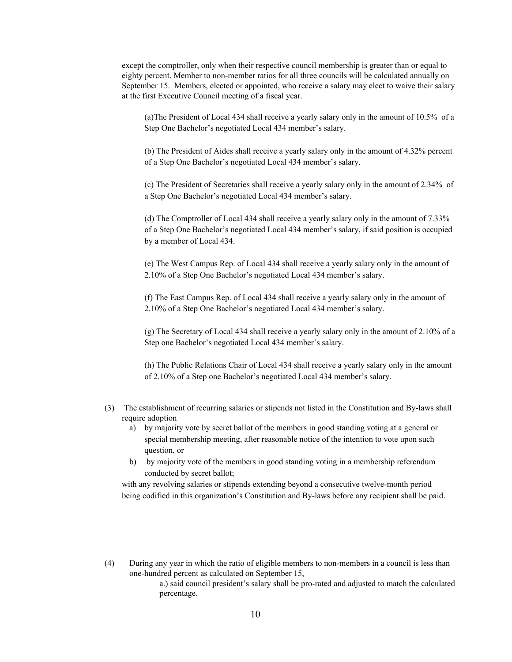except the comptroller, only when their respective council membership is greater than or equal to eighty percent. Member to non-member ratios for all three councils will be calculated annually on September 15. Members, elected or appointed, who receive a salary may elect to waive their salary at the first Executive Council meeting of a fiscal year.

(a)The President of Local 434 shall receive a yearly salary only in the amount of 10.5% of a Step One Bachelor's negotiated Local 434 member's salary.

(b) The President of Aides shall receive a yearly salary only in the amount of 4.32% percent of a Step One Bachelor's negotiated Local 434 member's salary.

(c) The President of Secretaries shall receive a yearly salary only in the amount of 2.34% of a Step One Bachelor's negotiated Local 434 member's salary.

(d) The Comptroller of Local 434 shall receive a yearly salary only in the amount of 7.33% of a Step One Bachelor's negotiated Local 434 member's salary, if said position is occupied by a member of Local 434.

(e) The West Campus Rep. of Local 434 shall receive a yearly salary only in the amount of 2.10% of a Step One Bachelor's negotiated Local 434 member's salary.

(f) The East Campus Rep. of Local 434 shall receive a yearly salary only in the amount of 2.10% of a Step One Bachelor's negotiated Local 434 member's salary.

(g) The Secretary of Local 434 shall receive a yearly salary only in the amount of 2.10% of a Step one Bachelor's negotiated Local 434 member's salary.

(h) The Public Relations Chair of Local 434 shall receive a yearly salary only in the amount of 2.10% of a Step one Bachelor's negotiated Local 434 member's salary.

- (3) The establishment of recurring salaries or stipends not listed in the Constitution and By-laws shall require adoption
	- a) by majority vote by secret ballot of the members in good standing voting at a general or special membership meeting, after reasonable notice of the intention to vote upon such question, or
	- b) by majority vote of the members in good standing voting in a membership referendum conducted by secret ballot;

with any revolving salaries or stipends extending beyond a consecutive twelve-month period being codified in this organization's Constitution and By-laws before any recipient shall be paid.

(4) During any year in which the ratio of eligible members to non-members in a council is less than one-hundred percent as calculated on September 15,

> a.) said council president's salary shall be pro-rated and adjusted to match the calculated percentage.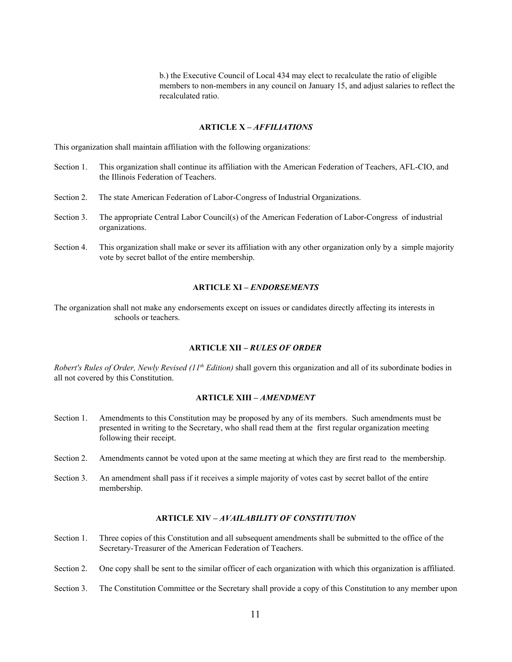b.) the Executive Council of Local 434 may elect to recalculate the ratio of eligible members to non-members in any council on January 15, and adjust salaries to reflect the recalculated ratio.

# **ARTICLE X –** *AFFILIATIONS*

This organization shall maintain affiliation with the following organizations:

- Section 1. This organization shall continue its affiliation with the American Federation of Teachers, AFL-CIO, and the Illinois Federation of Teachers.
- Section 2. The state American Federation of Labor-Congress of Industrial Organizations.
- Section 3. The appropriate Central Labor Council(s) of the American Federation of Labor-Congress of industrial organizations.
- Section 4. This organization shall make or sever its affiliation with any other organization only by a simple majority vote by secret ballot of the entire membership.

# **ARTICLE XI –** *ENDORSEMENTS*

The organization shall not make any endorsements except on issues or candidates directly affecting its interests in schools or teachers.

## **ARTICLE XII –** *RULES OF ORDER*

*Robert's Rules of Order, Newly Revised (11 th Edition)* shall govern this organization and all of its subordinate bodies in all not covered by this Constitution.

## **ARTICLE XIII –** *AMENDMENT*

- Section 1. Amendments to this Constitution may be proposed by any of its members. Such amendments must be presented in writing to the Secretary, who shall read them at the first regular organization meeting following their receipt.
- Section 2. Amendments cannot be voted upon at the same meeting at which they are first read to the membership.
- Section 3. An amendment shall pass if it receives a simple majority of votes cast by secret ballot of the entire membership.

#### **ARTICLE XIV –** *AVAILABILITY OF CONSTITUTION*

- Section 1. Three copies of this Constitution and all subsequent amendments shall be submitted to the office of the Secretary-Treasurer of the American Federation of Teachers.
- Section 2. One copy shall be sent to the similar officer of each organization with which this organization is affiliated.
- Section 3. The Constitution Committee or the Secretary shall provide a copy of this Constitution to any member upon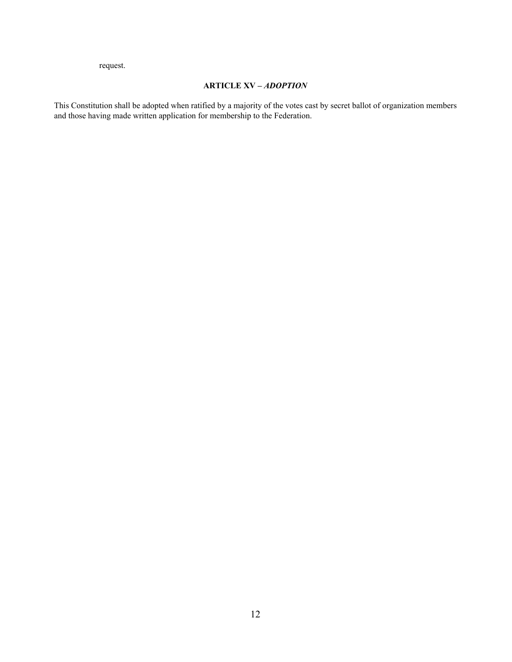request.

# **ARTICLE XV –** *ADOPTION*

This Constitution shall be adopted when ratified by a majority of the votes cast by secret ballot of organization members and those having made written application for membership to the Federation.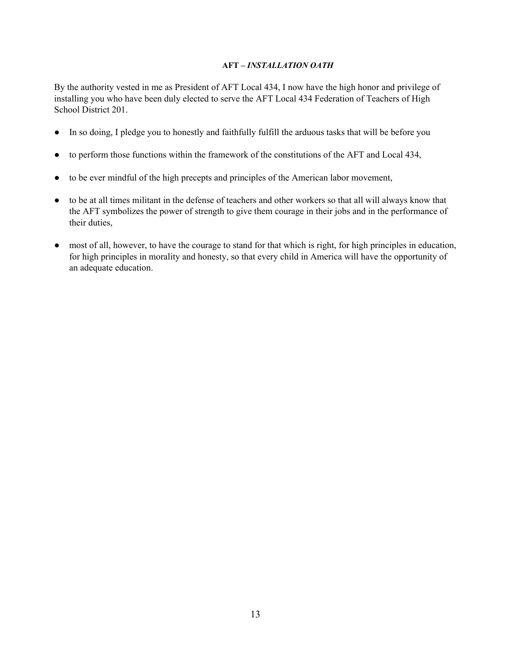# **AFT –** *INSTALLATION OATH*

By the authority vested in me as President of AFT Local 434, I now have the high honor and privilege of installing you who have been duly elected to serve the AFT Local 434 Federation of Teachers of High School District 201.

- In so doing, I pledge you to honestly and faithfully fulfill the arduous tasks that will be before you
- to perform those functions within the framework of the constitutions of the AFT and Local 434,
- to be ever mindful of the high precepts and principles of the American labor movement,
- to be at all times militant in the defense of teachers and other workers so that all will always know that the AFT symbolizes the power of strength to give them courage in their jobs and in the performance of their duties,
- most of all, however, to have the courage to stand for that which is right, for high principles in education, for high principles in morality and honesty, so that every child in America will have the opportunity of an adequate education.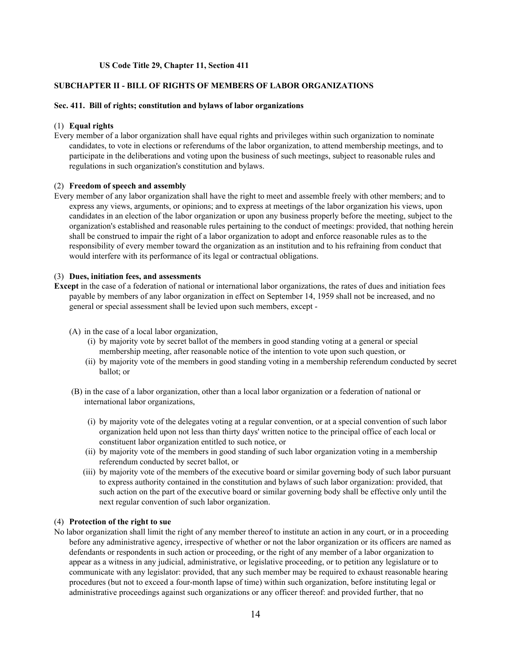### **US Code Title 29, Chapter 11, Section 411**

## **SUBCHAPTER II - BILL OF RIGHTS OF MEMBERS OF LABOR ORGANIZATIONS**

### **Sec. 411. Bill of rights; constitution and bylaws of labor organizations**

### (1) **Equal rights**

Every member of a labor organization shall have equal rights and privileges within such organization to nominate candidates, to vote in elections or referendums of the labor organization, to attend membership meetings, and to participate in the deliberations and voting upon the business of such meetings, subject to reasonable rules and regulations in such organization's constitution and bylaws.

## (2) **Freedom of speech and assembly**

Every member of any labor organization shall have the right to meet and assemble freely with other members; and to express any views, arguments, or opinions; and to express at meetings of the labor organization his views, upon candidates in an election of the labor organization or upon any business properly before the meeting, subject to the organization's established and reasonable rules pertaining to the conduct of meetings: provided, that nothing herein shall be construed to impair the right of a labor organization to adopt and enforce reasonable rules as to the responsibility of every member toward the organization as an institution and to his refraining from conduct that would interfere with its performance of its legal or contractual obligations.

## (3) **Dues, initiation fees, and assessments**

- **Except** in the case of a federation of national or international labor organizations, the rates of dues and initiation fees payable by members of any labor organization in effect on September 14, 1959 shall not be increased, and no general or special assessment shall be levied upon such members, except -
	- (A) in the case of a local labor organization,
		- (i) by majority vote by secret ballot of the members in good standing voting at a general or special membership meeting, after reasonable notice of the intention to vote upon such question, or
		- (ii) by majority vote of the members in good standing voting in a membership referendum conducted by secret ballot; or
	- (B) in the case of a labor organization, other than a local labor organization or a federation of national or international labor organizations,
		- (i) by majority vote of the delegates voting at a regular convention, or at a special convention of such labor organization held upon not less than thirty days' written notice to the principal office of each local or constituent labor organization entitled to such notice, or
		- (ii) by majority vote of the members in good standing of such labor organization voting in a membership referendum conducted by secret ballot, or
		- (iii) by majority vote of the members of the executive board or similar governing body of such labor pursuant to express authority contained in the constitution and bylaws of such labor organization: provided, that such action on the part of the executive board or similar governing body shall be effective only until the next regular convention of such labor organization.

### (4) **Protection of the right to sue**

No labor organization shall limit the right of any member thereof to institute an action in any court, or in a proceeding before any administrative agency, irrespective of whether or not the labor organization or its officers are named as defendants or respondents in such action or proceeding, or the right of any member of a labor organization to appear as a witness in any judicial, administrative, or legislative proceeding, or to petition any legislature or to communicate with any legislator: provided, that any such member may be required to exhaust reasonable hearing procedures (but not to exceed a four-month lapse of time) within such organization, before instituting legal or administrative proceedings against such organizations or any officer thereof: and provided further, that no